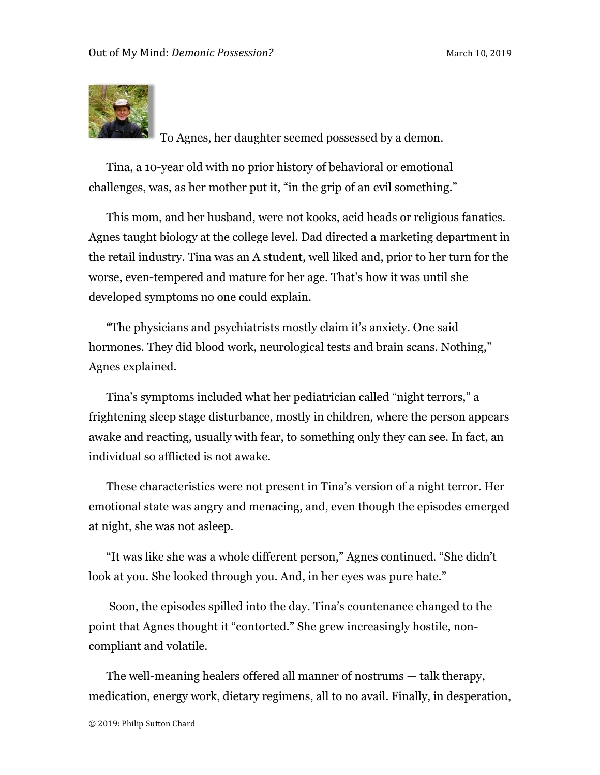

To Agnes, her daughter seemed possessed by a demon.

Tina, a 10-year old with no prior history of behavioral or emotional challenges, was, as her mother put it, "in the grip of an evil something."

This mom, and her husband, were not kooks, acid heads or religious fanatics. Agnes taught biology at the college level. Dad directed a marketing department in the retail industry. Tina was an A student, well liked and, prior to her turn for the worse, even-tempered and mature for her age. That's how it was until she developed symptoms no one could explain.

"The physicians and psychiatrists mostly claim it's anxiety. One said hormones. They did blood work, neurological tests and brain scans. Nothing," Agnes explained.

Tina's symptoms included what her pediatrician called "night terrors," a frightening sleep stage disturbance, mostly in children, where the person appears awake and reacting, usually with fear, to something only they can see. In fact, an individual so afflicted is not awake.

These characteristics were not present in Tina's version of a night terror. Her emotional state was angry and menacing, and, even though the episodes emerged at night, she was not asleep.

"It was like she was a whole different person," Agnes continued. "She didn't look at you. She looked through you. And, in her eyes was pure hate."

Soon, the episodes spilled into the day. Tina's countenance changed to the point that Agnes thought it "contorted." She grew increasingly hostile, noncompliant and volatile.

The well-meaning healers offered all manner of nostrums — talk therapy, medication, energy work, dietary regimens, all to no avail. Finally, in desperation,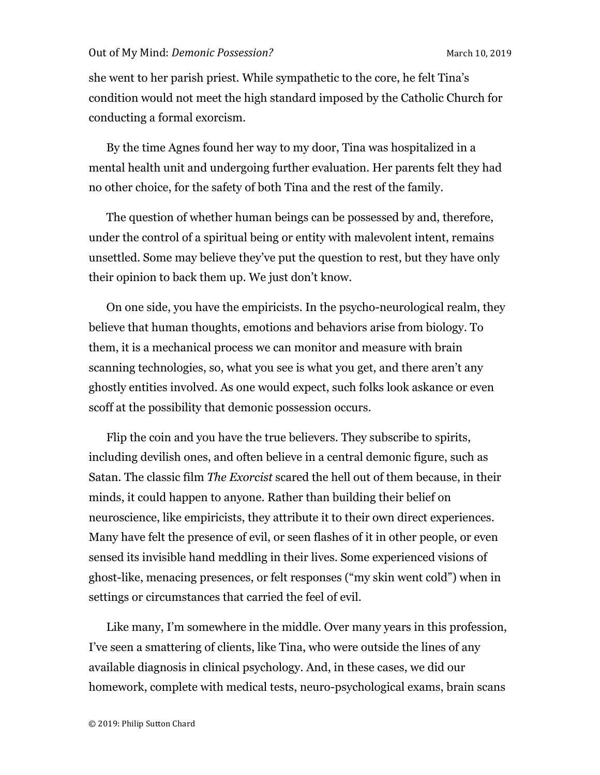she went to her parish priest. While sympathetic to the core, he felt Tina's condition would not meet the high standard imposed by the Catholic Church for conducting a formal exorcism.

By the time Agnes found her way to my door, Tina was hospitalized in a mental health unit and undergoing further evaluation. Her parents felt they had no other choice, for the safety of both Tina and the rest of the family.

The question of whether human beings can be possessed by and, therefore, under the control of a spiritual being or entity with malevolent intent, remains unsettled. Some may believe they've put the question to rest, but they have only their opinion to back them up. We just don't know.

On one side, you have the empiricists. In the psycho-neurological realm, they believe that human thoughts, emotions and behaviors arise from biology. To them, it is a mechanical process we can monitor and measure with brain scanning technologies, so, what you see is what you get, and there aren't any ghostly entities involved. As one would expect, such folks look askance or even scoff at the possibility that demonic possession occurs.

Flip the coin and you have the true believers. They subscribe to spirits, including devilish ones, and often believe in a central demonic figure, such as Satan. The classic film *The Exorcist* scared the hell out of them because, in their minds, it could happen to anyone. Rather than building their belief on neuroscience, like empiricists, they attribute it to their own direct experiences. Many have felt the presence of evil, or seen flashes of it in other people, or even sensed its invisible hand meddling in their lives. Some experienced visions of ghost-like, menacing presences, or felt responses ("my skin went cold") when in settings or circumstances that carried the feel of evil.

Like many, I'm somewhere in the middle. Over many years in this profession, I've seen a smattering of clients, like Tina, who were outside the lines of any available diagnosis in clinical psychology. And, in these cases, we did our homework, complete with medical tests, neuro-psychological exams, brain scans